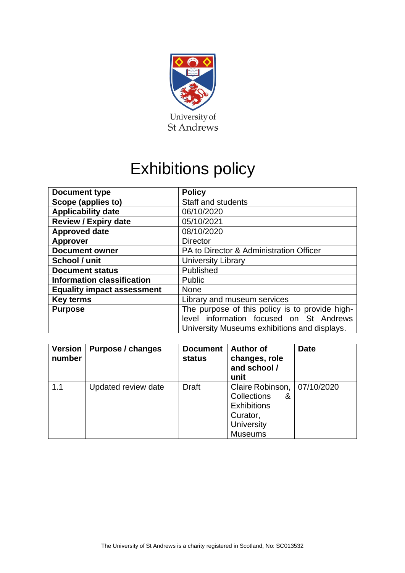

# Exhibitions policy

| <b>Document type</b>              | <b>Policy</b>                                  |  |  |
|-----------------------------------|------------------------------------------------|--|--|
| Scope (applies to)                | <b>Staff and students</b>                      |  |  |
| <b>Applicability date</b>         | 06/10/2020                                     |  |  |
| <b>Review / Expiry date</b>       | 05/10/2021                                     |  |  |
| <b>Approved date</b>              | 08/10/2020                                     |  |  |
| <b>Approver</b>                   | <b>Director</b>                                |  |  |
| <b>Document owner</b>             | PA to Director & Administration Officer        |  |  |
| School / unit                     | <b>University Library</b>                      |  |  |
| <b>Document status</b>            | Published                                      |  |  |
| <b>Information classification</b> | Public                                         |  |  |
| <b>Equality impact assessment</b> | <b>None</b>                                    |  |  |
| <b>Key terms</b>                  | Library and museum services                    |  |  |
| <b>Purpose</b>                    | The purpose of this policy is to provide high- |  |  |
|                                   | level information focused on St Andrews        |  |  |
|                                   | University Museums exhibitions and displays.   |  |  |

| <b>Version</b><br>number | Purpose / changes   | <b>Document</b><br><b>status</b> | <b>Author of</b><br>changes, role<br>and school /<br>unit                                              | <b>Date</b> |
|--------------------------|---------------------|----------------------------------|--------------------------------------------------------------------------------------------------------|-------------|
| 1.1                      | Updated review date | <b>Draft</b>                     | Claire Robinson,<br>Collections<br>&<br><b>Exhibitions</b><br>Curator,<br>University<br><b>Museums</b> | 07/10/2020  |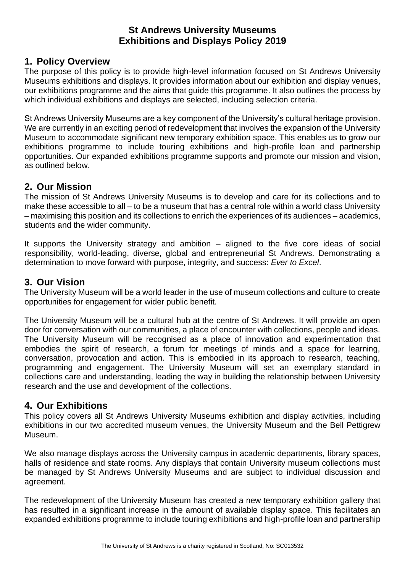# **St Andrews University Museums Exhibitions and Displays Policy 2019**

#### **1. Policy Overview**

The purpose of this policy is to provide high-level information focused on St Andrews University Museums exhibitions and displays. It provides information about our exhibition and display venues, our exhibitions programme and the aims that guide this programme. It also outlines the process by which individual exhibitions and displays are selected, including selection criteria.

St Andrews University Museums are a key component of the University's cultural heritage provision. We are currently in an exciting period of redevelopment that involves the expansion of the University Museum to accommodate significant new temporary exhibition space. This enables us to grow our exhibitions programme to include touring exhibitions and high-profile loan and partnership opportunities. Our expanded exhibitions programme supports and promote our mission and vision, as outlined below.

### **2. Our Mission**

The mission of St Andrews University Museums is to develop and care for its collections and to make these accessible to all – to be a museum that has a central role within a world class University – maximising this position and its collections to enrich the experiences of its audiences – academics, students and the wider community.

It supports the University strategy and ambition – aligned to the five core ideas of social responsibility, world-leading, diverse, global and entrepreneurial St Andrews. Demonstrating a determination to move forward with purpose, integrity, and success: *Ever to Excel*.

### **3. Our Vision**

The University Museum will be a world leader in the use of museum collections and culture to create opportunities for engagement for wider public benefit.

The University Museum will be a cultural hub at the centre of St Andrews. It will provide an open door for conversation with our communities, a place of encounter with collections, people and ideas. The University Museum will be recognised as a place of innovation and experimentation that embodies the spirit of research, a forum for meetings of minds and a space for learning, conversation, provocation and action. This is embodied in its approach to research, teaching, programming and engagement. The University Museum will set an exemplary standard in collections care and understanding, leading the way in building the relationship between University research and the use and development of the collections.

# **4. Our Exhibitions**

This policy covers all St Andrews University Museums exhibition and display activities, including exhibitions in our two accredited museum venues, the University Museum and the Bell Pettigrew Museum.

We also manage displays across the University campus in academic departments, library spaces, halls of residence and state rooms. Any displays that contain University museum collections must be managed by St Andrews University Museums and are subject to individual discussion and agreement.

The redevelopment of the University Museum has created a new temporary exhibition gallery that has resulted in a significant increase in the amount of available display space. This facilitates an expanded exhibitions programme to include touring exhibitions and high-profile loan and partnership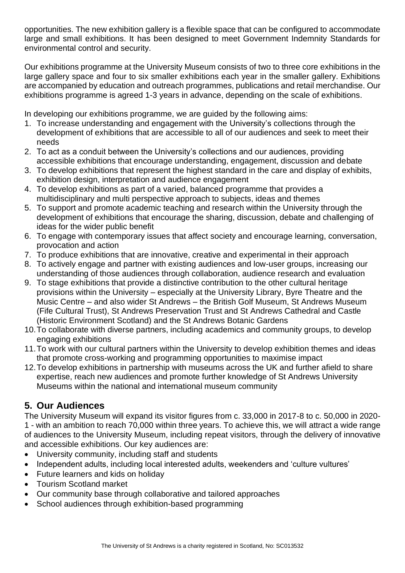opportunities. The new exhibition gallery is a flexible space that can be configured to accommodate large and small exhibitions. It has been designed to meet Government Indemnity Standards for environmental control and security.

Our exhibitions programme at the University Museum consists of two to three core exhibitions in the large gallery space and four to six smaller exhibitions each year in the smaller gallery. Exhibitions are accompanied by education and outreach programmes, publications and retail merchandise. Our exhibitions programme is agreed 1-3 years in advance, depending on the scale of exhibitions.

In developing our exhibitions programme, we are guided by the following aims:

- 1. To increase understanding and engagement with the University's collections through the development of exhibitions that are accessible to all of our audiences and seek to meet their needs
- 2. To act as a conduit between the University's collections and our audiences, providing accessible exhibitions that encourage understanding, engagement, discussion and debate
- 3. To develop exhibitions that represent the highest standard in the care and display of exhibits, exhibition design, interpretation and audience engagement
- 4. To develop exhibitions as part of a varied, balanced programme that provides a multidisciplinary and multi perspective approach to subjects, ideas and themes
- 5. To support and promote academic teaching and research within the University through the development of exhibitions that encourage the sharing, discussion, debate and challenging of ideas for the wider public benefit
- 6. To engage with contemporary issues that affect society and encourage learning, conversation, provocation and action
- 7. To produce exhibitions that are innovative, creative and experimental in their approach
- 8. To actively engage and partner with existing audiences and low-user groups, increasing our understanding of those audiences through collaboration, audience research and evaluation
- 9. To stage exhibitions that provide a distinctive contribution to the other cultural heritage provisions within the University – especially at the University Library, Byre Theatre and the Music Centre – and also wider St Andrews – the British Golf Museum, St Andrews Museum (Fife Cultural Trust), St Andrews Preservation Trust and St Andrews Cathedral and Castle (Historic Environment Scotland) and the St Andrews Botanic Gardens
- 10.To collaborate with diverse partners, including academics and community groups, to develop engaging exhibitions
- 11.To work with our cultural partners within the University to develop exhibition themes and ideas that promote cross-working and programming opportunities to maximise impact
- 12.To develop exhibitions in partnership with museums across the UK and further afield to share expertise, reach new audiences and promote further knowledge of St Andrews University Museums within the national and international museum community

# **5. Our Audiences**

The University Museum will expand its visitor figures from c. 33,000 in 2017-8 to c. 50,000 in 2020- 1 - with an ambition to reach 70,000 within three years. To achieve this, we will attract a wide range of audiences to the University Museum, including repeat visitors, through the delivery of innovative and accessible exhibitions. Our key audiences are:

- University community, including staff and students
- Independent adults, including local interested adults, weekenders and 'culture vultures'
- Future learners and kids on holiday
- Tourism Scotland market
- Our community base through collaborative and tailored approaches
- School audiences through exhibition-based programming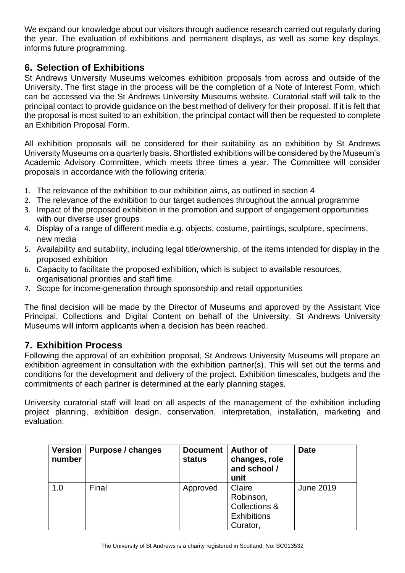We expand our knowledge about our visitors through audience research carried out regularly during the year. The evaluation of exhibitions and permanent displays, as well as some key displays, informs future programming.

#### **6. Selection of Exhibitions**

St Andrews University Museums welcomes exhibition proposals from across and outside of the University. The first stage in the process will be the completion of a Note of Interest Form, which can be accessed via the St Andrews University Museums website. Curatorial staff will talk to the principal contact to provide guidance on the best method of delivery for their proposal. If it is felt that the proposal is most suited to an exhibition, the principal contact will then be requested to complete an Exhibition Proposal Form.

All exhibition proposals will be considered for their suitability as an exhibition by St Andrews University Museums on a quarterly basis. Shortlisted exhibitions will be considered by the Museum's Academic Advisory Committee, which meets three times a year. The Committee will consider proposals in accordance with the following criteria:

- 1. The relevance of the exhibition to our exhibition aims, as outlined in section 4
- 2. The relevance of the exhibition to our target audiences throughout the annual programme
- 3. Impact of the proposed exhibition in the promotion and support of engagement opportunities with our diverse user groups
- 4. Display of a range of different media e.g. objects, costume, paintings, sculpture, specimens, new media
- 5. Availability and suitability, including legal title/ownership, of the items intended for display in the proposed exhibition
- 6. Capacity to facilitate the proposed exhibition, which is subject to available resources, organisational priorities and staff time
- 7. Scope for income-generation through sponsorship and retail opportunities

The final decision will be made by the Director of Museums and approved by the Assistant Vice Principal, Collections and Digital Content on behalf of the University. St Andrews University Museums will inform applicants when a decision has been reached.

#### **7. Exhibition Process**

Following the approval of an exhibition proposal, St Andrews University Museums will prepare an exhibition agreement in consultation with the exhibition partner(s). This will set out the terms and conditions for the development and delivery of the project. Exhibition timescales, budgets and the commitments of each partner is determined at the early planning stages.

University curatorial staff will lead on all aspects of the management of the exhibition including project planning, exhibition design, conservation, interpretation, installation, marketing and evaluation.

| <b>Version</b><br>number | Purpose / changes | <b>Document</b><br>status | <b>Author of</b><br>changes, role<br>and school /<br>unit              | <b>Date</b>      |
|--------------------------|-------------------|---------------------------|------------------------------------------------------------------------|------------------|
| 1.0                      | Final             | Approved                  | Claire<br>Robinson,<br>Collections &<br><b>Exhibitions</b><br>Curator, | <b>June 2019</b> |